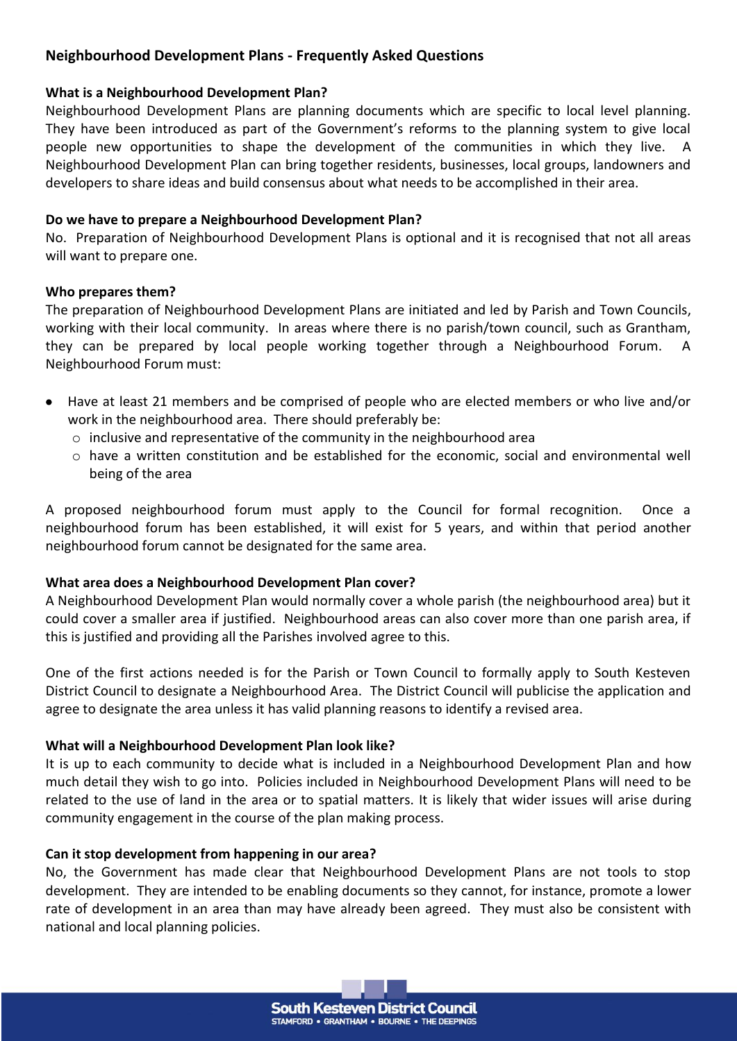# **Neighbourhood Development Plans - Frequently Asked Questions**

#### **What is a Neighbourhood Development Plan?**

Neighbourhood Development Plans are planning documents which are specific to local level planning. They have been introduced as part of the Government's reforms to the planning system to give local people new opportunities to shape the development of the communities in which they live. A Neighbourhood Development Plan can bring together residents, businesses, local groups, landowners and developers to share ideas and build consensus about what needs to be accomplished in their area.

### **Do we have to prepare a Neighbourhood Development Plan?**

No. Preparation of Neighbourhood Development Plans is optional and it is recognised that not all areas will want to prepare one.

#### **Who prepares them?**

The preparation of Neighbourhood Development Plans are initiated and led by Parish and Town Councils, working with their local community. In areas where there is no parish/town council, such as Grantham, they can be prepared by local people working together through a Neighbourhood Forum. A Neighbourhood Forum must:

- Have at least 21 members and be comprised of people who are elected members or who live and/or work in the neighbourhood area. There should preferably be:
	- $\circ$  inclusive and representative of the community in the neighbourhood area
	- o have a written constitution and be established for the economic, social and environmental well being of the area

A proposed neighbourhood forum must apply to the Council for formal recognition. Once a neighbourhood forum has been established, it will exist for 5 years, and within that period another neighbourhood forum cannot be designated for the same area.

# **What area does a Neighbourhood Development Plan cover?**

A Neighbourhood Development Plan would normally cover a whole parish (the neighbourhood area) but it could cover a smaller area if justified. Neighbourhood areas can also cover more than one parish area, if this is justified and providing all the Parishes involved agree to this.

One of the first actions needed is for the Parish or Town Council to formally apply to South Kesteven District Council to designate a Neighbourhood Area. The District Council will publicise the application and agree to designate the area unless it has valid planning reasons to identify a revised area.

# **What will a Neighbourhood Development Plan look like?**

It is up to each community to decide what is included in a Neighbourhood Development Plan and how much detail they wish to go into. Policies included in Neighbourhood Development Plans will need to be related to the use of land in the area or to spatial matters. It is likely that wider issues will arise during community engagement in the course of the plan making process.

#### **Can it stop development from happening in our area?**

No, the Government has made clear that Neighbourhood Development Plans are not tools to stop development. They are intended to be enabling documents so they cannot, for instance, promote a lower rate of development in an area than may have already been agreed. They must also be consistent with national and local planning policies.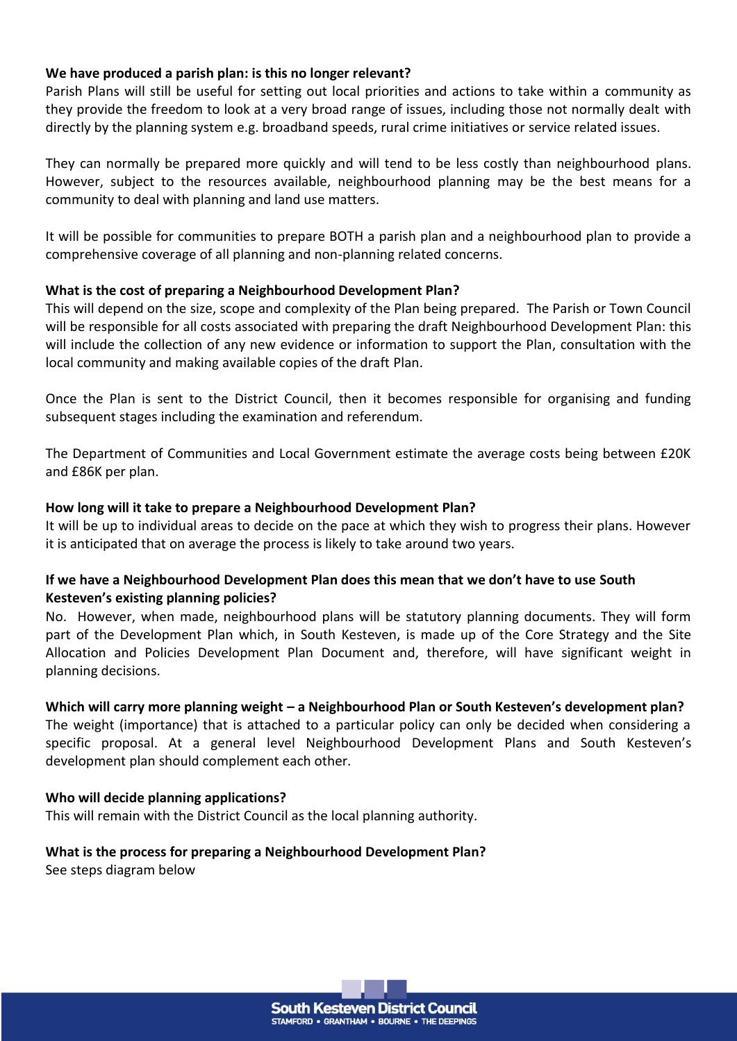#### **We have produced a parish plan: is this no longer relevant?**

Parish Plans will still be useful for setting out local priorities and actions to take within a community as they provide the freedom to look at a very broad range of issues, including those not normally dealt with directly by the planning system e.g. broadband speeds, rural crime initiatives or service related issues.

They can normally be prepared more quickly and will tend to be less costly than neighbourhood plans. However, subject to the resources available, neighbourhood planning may be the best means for a community to deal with planning and land use matters.

It will be possible for communities to prepare BOTH a parish plan and a neighbourhood plan to provide a comprehensive coverage of all planning and non-planning related concerns.

#### **What is the cost of preparing a Neighbourhood Development Plan?**

This will depend on the size, scope and complexity of the Plan being prepared. The Parish or Town Council will be responsible for all costs associated with preparing the draft Neighbourhood Development Plan: this will include the collection of any new evidence or information to support the Plan, consultation with the local community and making available copies of the draft Plan.

Once the Plan is sent to the District Council, then it becomes responsible for organising and funding subsequent stages including the examination and referendum.

The Department of Communities and Local Government estimate the average costs being between £20K and £86K per plan.

#### **How long will it take to prepare a Neighbourhood Development Plan?**

It will be up to individual areas to decide on the pace at which they wish to progress their plans. However it is anticipated that on average the process is likely to take around two years.

#### **If we have a Neighbourhood Development Plan does this mean that we don't have to use South Kesteven's existing planning policies?**

No. However, when made, neighbourhood plans will be statutory planning documents. They will form part of the Development Plan which, in South Kesteven, is made up of the Core Strategy and the Site Allocation and Policies Development Plan Document and, therefore, will have significant weight in planning decisions.

#### **Which will carry more planning weight – a Neighbourhood Plan or South Kesteven's development plan?**

The weight (importance) that is attached to a particular policy can only be decided when considering a specific proposal. At a general level Neighbourhood Development Plans and South Kesteven's development plan should complement each other.

#### **Who will decide planning applications?**

This will remain with the District Council as the local planning authority.

# **What is the process for preparing a Neighbourhood Development Plan?**

See steps diagram below